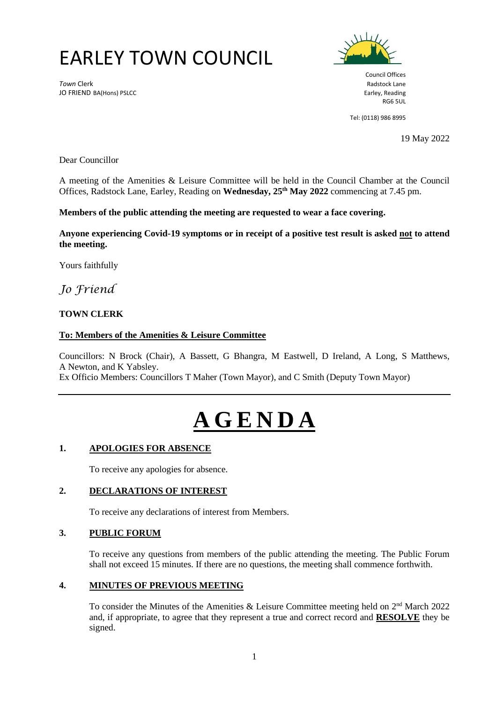# EARLEY TOWN COUNCIL

**Town Clerk** Radstock Lane JO FRIEND BA(Hons) PSLCC **Earley, Reading** and the state of the state of the state of the state of the state of the state of the state of the state of the state of the state of the state of the state of the state of the st



Council Offices RG6 5UL

Tel: (0118) 986 8995

19 May 2022

Dear Councillor

A meeting of the Amenities & Leisure Committee will be held in the Council Chamber at the Council Offices, Radstock Lane, Earley, Reading on **Wednesday, 25 th May 2022** commencing at 7.45 pm.

#### **Members of the public attending the meeting are requested to wear a face covering.**

**Anyone experiencing Covid-19 symptoms or in receipt of a positive test result is asked not to attend the meeting.**

Yours faithfully

*Jo Friend*

# **TOWN CLERK**

# **To: Members of the Amenities & Leisure Committee**

Councillors: N Brock (Chair), A Bassett, G Bhangra, M Eastwell, D Ireland, A Long, S Matthews, A Newton, and K Yabsley.

Ex Officio Members: Councillors T Maher (Town Mayor), and C Smith (Deputy Town Mayor)

# **A G E N D A**

#### **1. APOLOGIES FOR ABSENCE**

To receive any apologies for absence.

#### **2. DECLARATIONS OF INTEREST**

To receive any declarations of interest from Members.

# **3. PUBLIC FORUM**

To receive any questions from members of the public attending the meeting. The Public Forum shall not exceed 15 minutes. If there are no questions, the meeting shall commence forthwith.

#### **4. MINUTES OF PREVIOUS MEETING**

To consider the Minutes of the Amenities & Leisure Committee meeting held on  $2<sup>nd</sup>$  March 2022 and, if appropriate, to agree that they represent a true and correct record and **RESOLVE** they be signed.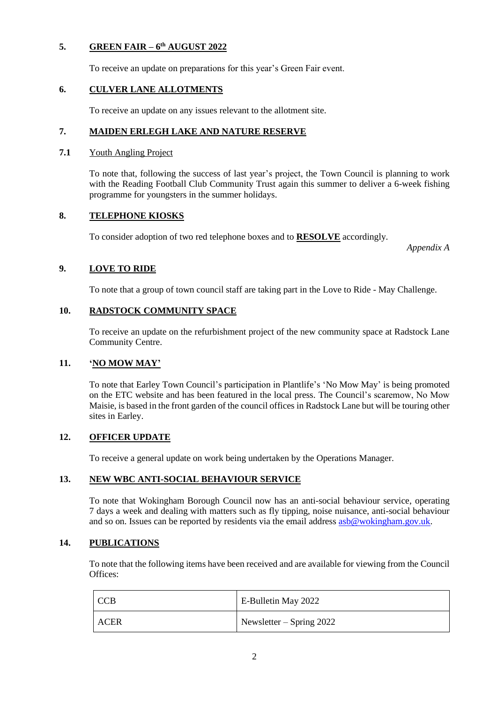# **5. GREEN FAIR – 6 th AUGUST 2022**

To receive an update on preparations for this year's Green Fair event.

# **6. CULVER LANE ALLOTMENTS**

To receive an update on any issues relevant to the allotment site.

## **7. MAIDEN ERLEGH LAKE AND NATURE RESERVE**

#### **7.1** Youth Angling Project

To note that, following the success of last year's project, the Town Council is planning to work with the Reading Football Club Community Trust again this summer to deliver a 6-week fishing programme for youngsters in the summer holidays.

#### **8. TELEPHONE KIOSKS**

To consider adoption of two red telephone boxes and to **RESOLVE** accordingly.

*Appendix A*

# **9. LOVE TO RIDE**

To note that a group of town council staff are taking part in the Love to Ride - May Challenge.

#### **10. RADSTOCK COMMUNITY SPACE**

To receive an update on the refurbishment project of the new community space at Radstock Lane Community Centre.

# **11. 'NO MOW MAY'**

To note that Earley Town Council's participation in Plantlife's 'No Mow May' is being promoted on the ETC website and has been featured in the local press. The Council's scaremow, No Mow Maisie, is based in the front garden of the council offices in Radstock Lane but will be touring other sites in Earley.

# **12. OFFICER UPDATE**

To receive a general update on work being undertaken by the Operations Manager.

# **13. NEW WBC ANTI-SOCIAL BEHAVIOUR SERVICE**

To note that Wokingham Borough Council now has an anti-social behaviour service, operating 7 days a week and dealing with matters such as fly tipping, noise nuisance, anti-social behaviour and so on. Issues can be reported by residents via the email addres[s asb@wokingham.gov.uk.](mailto:asb@wokingham.gov.uk)

# **14. PUBLICATIONS**

To note that the following items have been received and are available for viewing from the Council Offices:

| I CCB | E-Bulletin May 2022        |
|-------|----------------------------|
| ACER  | Newsletter $-$ Spring 2022 |